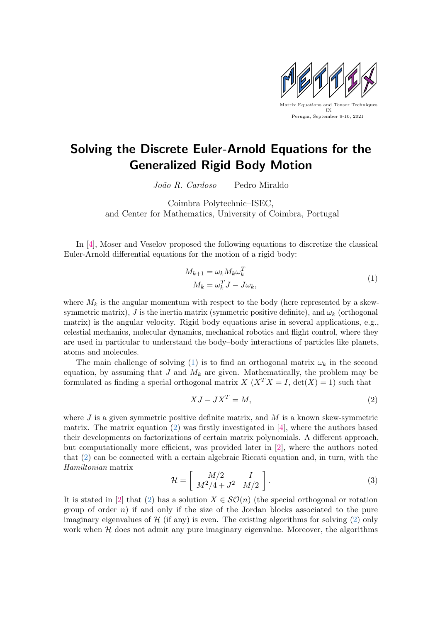

## Solving the Discrete Euler-Arnold Equations for the Generalized Rigid Body Motion

João R. Cardoso Pedro Miraldo

Coimbra Polytechnic–ISEC, and Center for Mathematics, University of Coimbra, Portugal

In [\[4\]](#page-1-0), Moser and Veselov proposed the following equations to discretize the classical Euler-Arnold differential equations for the motion of a rigid body:

<span id="page-0-0"></span>
$$
M_{k+1} = \omega_k M_k \omega_k^T
$$
  

$$
M_k = \omega_k^T J - J \omega_k,
$$
 (1)

where  $M_k$  is the angular momentum with respect to the body (here represented by a skewsymmetric matrix), J is the inertia matrix (symmetric positive definite), and  $\omega_k$  (orthogonal matrix) is the angular velocity. Rigid body equations arise in several applications, e.g., celestial mechanics, molecular dynamics, mechanical robotics and flight control, where they are used in particular to understand the body–body interactions of particles like planets, atoms and molecules.

The main challenge of solving [\(1\)](#page-0-0) is to find an orthogonal matrix  $\omega_k$  in the second equation, by assuming that  $J$  and  $M_k$  are given. Mathematically, the problem may be formulated as finding a special orthogonal matrix  $X(X^T X = I, \det(X) = 1)$  such that

<span id="page-0-1"></span>
$$
XJ - JX^T = M,\t\t(2)
$$

where  $J$  is a given symmetric positive definite matrix, and  $M$  is a known skew-symmetric matrix. The matrix equation [\(2\)](#page-0-1) was firstly investigated in [\[4\]](#page-1-0), where the authors based their developments on factorizations of certain matrix polynomials. A different approach, but computationally more efficient, was provided later in [\[2\]](#page-1-1), where the authors noted that [\(2\)](#page-0-1) can be connected with a certain algebraic Riccati equation and, in turn, with the Hamiltonian matrix

$$
\mathcal{H} = \left[ \begin{array}{cc} M/2 & I \\ M^2/4 + J^2 & M/2 \end{array} \right]. \tag{3}
$$

It is stated in [\[2\]](#page-1-1) that [\(2\)](#page-0-1) has a solution  $X \in \mathcal{SO}(n)$  (the special orthogonal or rotation group of order  $n$ ) if and only if the size of the Jordan blocks associated to the pure imaginary eigenvalues of  $\mathcal{H}$  (if any) is even. The existing algorithms for solving [\(2\)](#page-0-1) only work when  $H$  does not admit any pure imaginary eigenvalue. Moreover, the algorithms